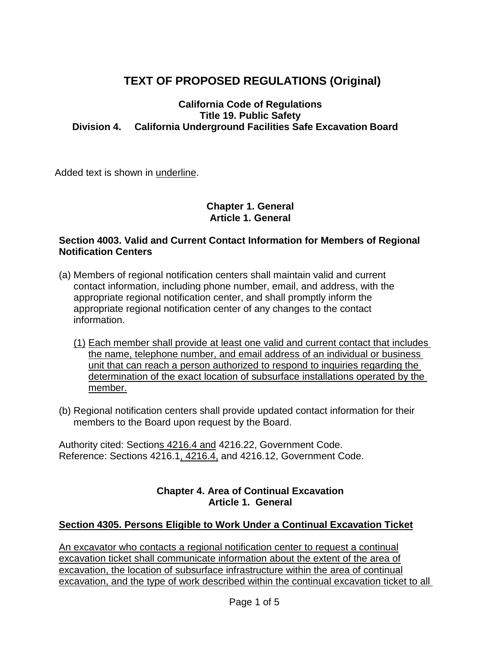# **TEXT OF PROPOSED REGULATIONS (Original)**

#### **California Code of Regulations Title 19. Public Safety Division 4. California Underground Facilities Safe Excavation Board**

Added text is shown in underline.

#### **Chapter 1. General Article 1. General**

#### **Section 4003. Valid and Current Contact Information for Members of Regional Notification Centers**

- (a) Members of regional notification centers shall maintain valid and current contact information, including phone number, email, and address, with the appropriate regional notification center, and shall promptly inform the appropriate regional notification center of any changes to the contact information.
	- (1) Each member shall provide at least one valid and current contact that includes the name, telephone number, and email address of an individual or business unit that can reach a person authorized to respond to inquiries regarding the determination of the exact location of subsurface installations operated by the member.
- (b) Regional notification centers shall provide updated contact information for their members to the Board upon request by the Board.

Authority cited: Sections 4216.4 and 4216.22, Government Code. Reference: Sections 4216.1, 4216.4, and 4216.12, Government Code.

### **Chapter 4. Area of Continual Excavation Article 1. General**

# **Section 4305. Persons Eligible to Work Under a Continual Excavation Ticket**

An excavator who contacts a regional notification center to request a continual excavation ticket shall communicate information about the extent of the area of excavation, the location of subsurface infrastructure within the area of continual excavation, and the type of work described within the continual excavation ticket to all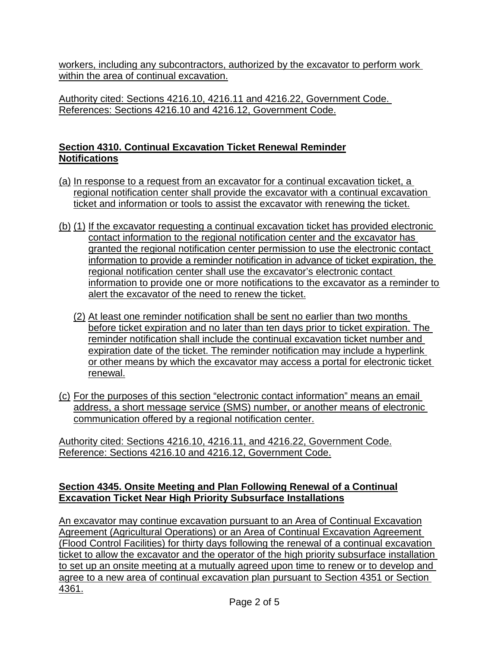workers, including any subcontractors, authorized by the excavator to perform work within the area of continual excavation.

Authority cited: Sections 4216.10, 4216.11 and 4216.22, Government Code. References: Sections 4216.10 and 4216.12, Government Code.

# **Section 4310. Continual Excavation Ticket Renewal Reminder Notifications**

- (a) In response to a request from an excavator for a continual excavation ticket, a regional notification center shall provide the excavator with a continual excavation ticket and information or tools to assist the excavator with renewing the ticket.
- (b) (1) If the excavator requesting a continual excavation ticket has provided electronic contact information to the regional notification center and the excavator has granted the regional notification center permission to use the electronic contact information to provide a reminder notification in advance of ticket expiration, the regional notification center shall use the excavator's electronic contact information to provide one or more notifications to the excavator as a reminder to alert the excavator of the need to renew the ticket.
	- (2) At least one reminder notification shall be sent no earlier than two months before ticket expiration and no later than ten days prior to ticket expiration. The reminder notification shall include the continual excavation ticket number and expiration date of the ticket. The reminder notification may include a hyperlink or other means by which the excavator may access a portal for electronic ticket renewal.
- (c) For the purposes of this section "electronic contact information" means an email address, a short message service (SMS) number, or another means of electronic communication offered by a regional notification center.

Authority cited: Sections 4216.10, 4216.11, and 4216.22, Government Code. Reference: Sections 4216.10 and 4216.12, Government Code.

# **Section 4345. Onsite Meeting and Plan Following Renewal of a Continual Excavation Ticket Near High Priority Subsurface Installations**

An excavator may continue excavation pursuant to an Area of Continual Excavation Agreement (Agricultural Operations) or an Area of Continual Excavation Agreement (Flood Control Facilities) for thirty days following the renewal of a continual excavation ticket to allow the excavator and the operator of the high priority subsurface installation to set up an onsite meeting at a mutually agreed upon time to renew or to develop and agree to a new area of continual excavation plan pursuant to Section 4351 or Section 4361.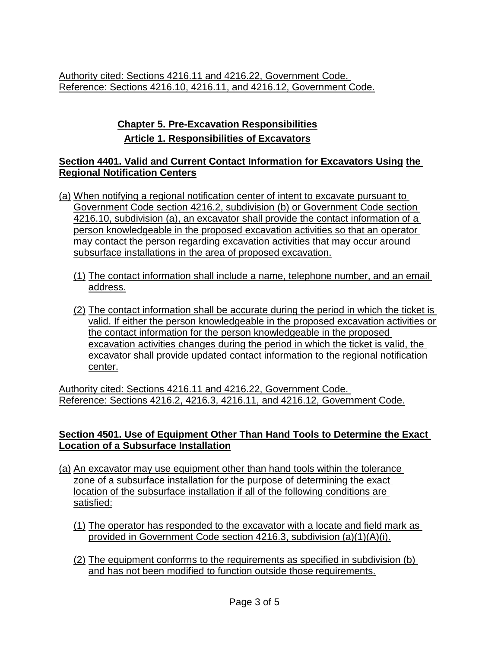Authority cited: Sections 4216.11 and 4216.22, Government Code. Reference: Sections 4216.10, 4216.11, and 4216.12, Government Code.

# **Chapter 5. Pre-Excavation Responsibilities Article 1. Responsibilities of Excavators**

### **Section 4401. Valid and Current Contact Information for Excavators Using the Regional Notification Centers**

- (a) When notifying a regional notification center of intent to excavate pursuant to Government Code section 4216.2, subdivision (b) or Government Code section 4216.10, subdivision (a), an excavator shall provide the contact information of a person knowledgeable in the proposed excavation activities so that an operator may contact the person regarding excavation activities that may occur around subsurface installations in the area of proposed excavation.
	- (1) The contact information shall include a name, telephone number, and an email address.
	- (2) The contact information shall be accurate during the period in which the ticket is valid. If either the person knowledgeable in the proposed excavation activities or the contact information for the person knowledgeable in the proposed excavation activities changes during the period in which the ticket is valid, the excavator shall provide updated contact information to the regional notification center.

Authority cited: Sections 4216.11 and 4216.22, Government Code. Reference: Sections 4216.2, 4216.3, 4216.11, and 4216.12, Government Code.

### **Section 4501. Use of Equipment Other Than Hand Tools to Determine the Exact Location of a Subsurface Installation**

- (a) An excavator may use equipment other than hand tools within the tolerance zone of a subsurface installation for the purpose of determining the exact location of the subsurface installation if all of the following conditions are satisfied:
	- (1) The operator has responded to the excavator with a locate and field mark as provided in Government Code section 4216.3, subdivision (a)(1)(A)(i).
	- (2) The equipment conforms to the requirements as specified in subdivision (b) and has not been modified to function outside those requirements.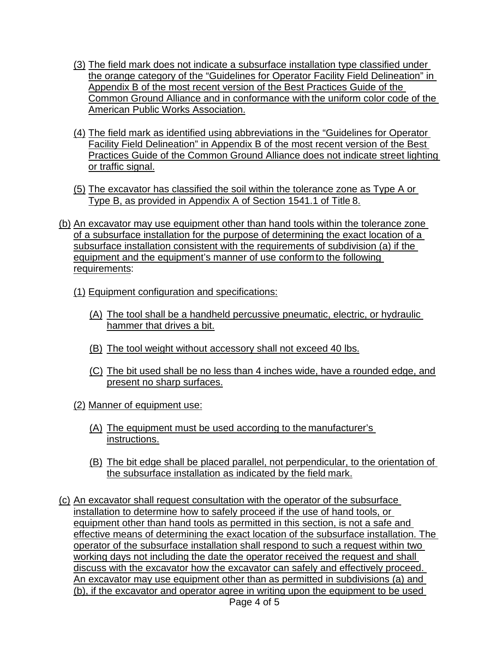- (3) The field mark does not indicate a subsurface installation type classified under the orange category of the "Guidelines for Operator Facility Field Delineation" in Appendix B of the most recent version of the Best Practices Guide of the Common Ground Alliance and in conformance with the uniform color code of the American Public Works Association.
- (4) The field mark as identified using abbreviations in the "Guidelines for Operator Facility Field Delineation" in Appendix B of the most recent version of the Best Practices Guide of the Common Ground Alliance does not indicate street lighting or traffic signal.
- (5) The excavator has classified the soil within the tolerance zone as Type A or Type B, as provided in Appendix A of Section 1541.1 of Title 8.
- (b) An excavator may use equipment other than hand tools within the tolerance zone of a subsurface installation for the purpose of determining the exact location of a subsurface installation consistent with the requirements of subdivision (a) if the equipment and the equipment's manner of use conform to the following requirements:
	- (1) Equipment configuration and specifications:
		- (A) The tool shall be a handheld percussive pneumatic, electric, or hydraulic hammer that drives a bit.
		- (B) The tool weight without accessory shall not exceed 40 lbs.
		- (C) The bit used shall be no less than 4 inches wide, have a rounded edge, and present no sharp surfaces.
	- (2) Manner of equipment use:
		- (A) The equipment must be used according to the manufacturer's instructions.
		- (B) The bit edge shall be placed parallel, not perpendicular, to the orientation of the subsurface installation as indicated by the field mark.
- (c) An excavator shall request consultation with the operator of the subsurface installation to determine how to safely proceed if the use of hand tools, or equipment other than hand tools as permitted in this section, is not a safe and effective means of determining the exact location of the subsurface installation. The operator of the subsurface installation shall respond to such a request within two working days not including the date the operator received the request and shall discuss with the excavator how the excavator can safely and effectively proceed. An excavator may use equipment other than as permitted in subdivisions (a) and (b), if the excavator and operator agree in writing upon the equipment to be used